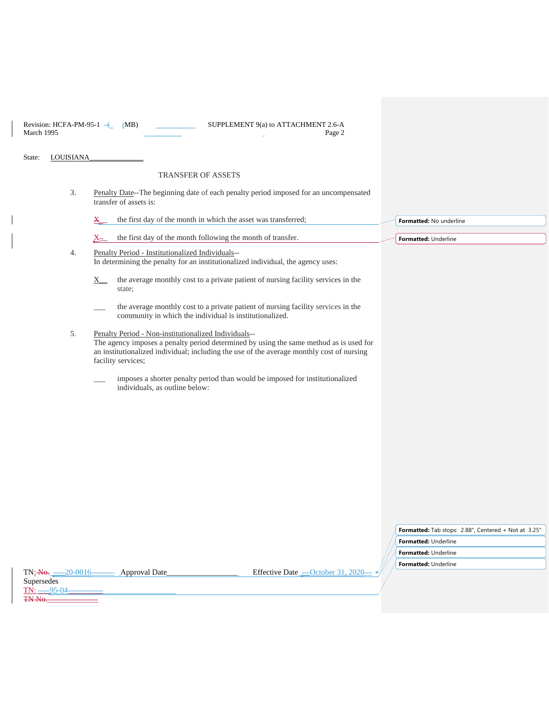| Revision: HCFA-PM-95-1 $-$ | (MB) | SUPPLEMENT 9(a) to ATTACHMENT 2.6-A |        |
|----------------------------|------|-------------------------------------|--------|
| March 1995                 |      |                                     | Page 2 |

State: LOUISIANA

## TRANSFER OF ASSETS

3. Penalty Date--The beginning date of each penalty period imposed for an uncompensated transfer of assets is:

|    | $\mathbf{x}$ | the first day of the month in which the asset was transferred;                                                                                                          | Formatted: No underline |
|----|--------------|-------------------------------------------------------------------------------------------------------------------------------------------------------------------------|-------------------------|
|    | <u>X-</u>    | the first day of the month following the month of transfer.                                                                                                             | Formatted: Underline    |
| 4. |              | Penalty Period - Institutionalized Individuals--<br>In determining the penalty for an institutionalized individual, the agency uses:                                    |                         |
|    | X.           | the average monthly cost to a private patient of nursing facility services in the<br>state;                                                                             |                         |
|    |              | the average monthly cost to a private patient of nursing facility services in the<br>community in which the individual is institutionalized.                            |                         |
| 5. |              | Penalty Period - Non-institutionalized Individuals--<br>the contract of the contract of the contract of the contract of the contract of the contract of the contract of |                         |

- The agency imposes a penalty period determined by using the same method as is used for an institutionalized individual; including the use of the average monthly cost of nursing facility services;
	- \_\_\_ imposes a shorter penalty period than would be imposed for institutionalized individuals, as outline below:

|                      | <b>Formatted:</b> Tab stops: 2.88", Centered + Not at 3.25" |  |
|----------------------|-------------------------------------------------------------|--|
|                      | <b>Formatted: Underline</b>                                 |  |
| Formatted: Underline |                                                             |  |
|                      | <b>Formatted: Underline</b>                                 |  |

| TN: <del>No.</del><br>$-20-0016$ | <b>Approval Date</b> |
|----------------------------------|----------------------|
| Supersedes                       |                      |
| TN:                              |                      |
| <del>TN No.</del>                |                      |

Effective Date $\frac{\text{Order 31, 2020}}{\text{Order 31, 2020}}$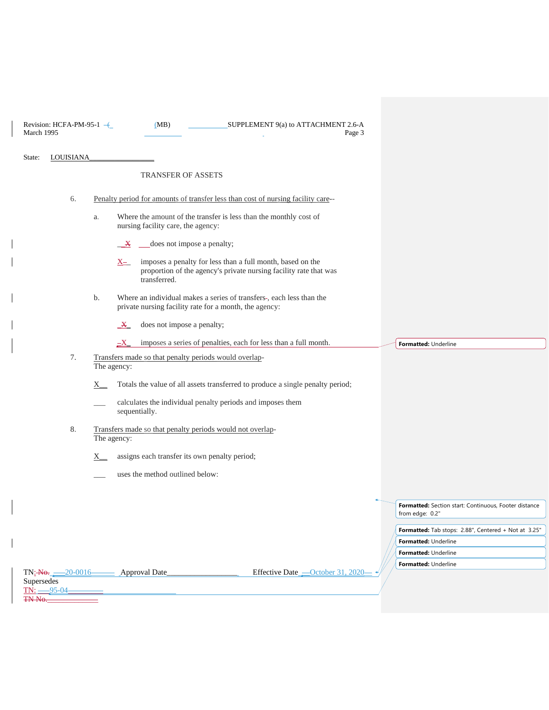| March 1995 | Revision: HCFA-PM-95-1 $\leftarrow$ | SUPPLEMENT 9(a) to ATTACHMENT 2.6-A<br>(MB)<br>Page 3                                                                                                        |                                                                              |
|------------|-------------------------------------|--------------------------------------------------------------------------------------------------------------------------------------------------------------|------------------------------------------------------------------------------|
| State:     | LOUISIANA                           |                                                                                                                                                              |                                                                              |
|            |                                     | <b>TRANSFER OF ASSETS</b>                                                                                                                                    |                                                                              |
|            | 6.                                  | Penalty period for amounts of transfer less than cost of nursing facility care--                                                                             |                                                                              |
|            |                                     | Where the amount of the transfer is less than the monthly cost of<br>a.<br>nursing facility care, the agency:                                                |                                                                              |
|            |                                     | does not impose a penalty;<br>$\mathbf{X}$                                                                                                                   |                                                                              |
|            |                                     | imposes a penalty for less than a full month, based on the<br>$X_{\pm}$<br>proportion of the agency's private nursing facility rate that was<br>transferred. |                                                                              |
|            |                                     | Where an individual makes a series of transfers-, each less than the<br>b.<br>private nursing facility rate for a month, the agency:                         |                                                                              |
|            |                                     | does not impose a penalty;<br>$\mathbf{X}$                                                                                                                   |                                                                              |
|            |                                     | imposes a series of penalties, each for less than a full month.<br>$\equiv$ $X$                                                                              | Formatted: Underline                                                         |
|            | 7.                                  | Transfers made so that penalty periods would overlap-<br>The agency:                                                                                         |                                                                              |
|            |                                     | Totals the value of all assets transferred to produce a single penalty period;<br>X.                                                                         |                                                                              |
|            |                                     | calculates the individual penalty periods and imposes them<br>sequentially.                                                                                  |                                                                              |
|            | 8.                                  | Transfers made so that penalty periods would not overlap-<br>The agency:                                                                                     |                                                                              |
|            |                                     | assigns each transfer its own penalty period;<br>$X_{-}$                                                                                                     |                                                                              |
|            |                                     | uses the method outlined below:                                                                                                                              |                                                                              |
|            |                                     |                                                                                                                                                              | Formatted: Section start: Continuous, Footer distance<br>from edge: 0.2      |
|            |                                     |                                                                                                                                                              | Formatted: Tab stops: 2.88", Centered + Not at 3.25"<br>Formatted: Underline |
|            |                                     |                                                                                                                                                              | Formatted: Underline                                                         |
|            |                                     |                                                                                                                                                              | Formatted: Underline                                                         |
| Supersedes | TN: —95-04-                         | Effective Date -October 31, 2020-<br>TN: No. 20-0016 Approval Date                                                                                           |                                                                              |